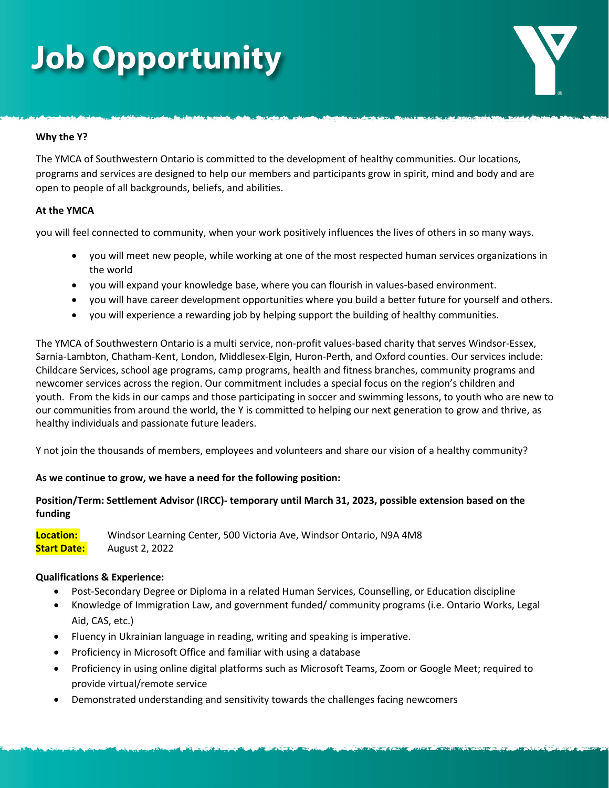## **Job Opportunity**

### **Why the Y?**

The YMCA of Southwestern Ontario is committed to the development of healthy communities. Our locations, programs and services are designed to help our members and participants grow in spirit, mind and body and are open to people of all backgrounds, beliefs, and abilities.

#### **At the YMCA**

you will feel connected to community, when your work positively influences the lives of others in so many ways.

- you will meet new people, while working at one of the most respected human services organizations in the world
- you will expand your knowledge base, where you can flourish in values-based environment.
- you will have career development opportunities where you build a better future for yourself and others.
- you will experience a rewarding job by helping support the building of healthy communities.

The YMCA of Southwestern Ontario is a multi service, non-profit values-based charity that serves Windsor-Essex, Sarnia-Lambton, Chatham-Kent, London, Middlesex-Elgin, Huron-Perth, and Oxford counties. Our services include: Childcare Services, school age programs, camp programs, health and fitness branches, community programs and newcomer services across the region. Our commitment includes a special focus on the region's children and youth. From the kids in our camps and those participating in soccer and swimming lessons, to youth who are new to our communities from around the world, the Y is committed to helping our next generation to grow and thrive, as healthy individuals and passionate future leaders.

Y not join the thousands of members, employees and volunteers and share our vision of a healthy community?

### **As we continue to grow, we have a need for the following position:**

### **Position/Term: Settlement Advisor (IRCC)- temporary until March 31, 2023, possible extension based on the funding**

**Location:** Windsor Learning Center, 500 Victoria Ave, Windsor Ontario, N9A 4M8 **Start Date:** August 2, 2022

#### **Qualifications & Experience:**

- Post-Secondary Degree or Diploma in a related Human Services, Counselling, or Education discipline
- Knowledge of Immigration Law, and government funded/ community programs (i.e. Ontario Works, Legal Aid, CAS, etc.)
- Fluency in Ukrainian language in reading, writing and speaking is imperative.
- Proficiency in Microsoft Office and familiar with using a database
- Proficiency in using online digital platforms such as Microsoft Teams, Zoom or Google Meet; required to provide virtual/remote service
- Demonstrated understanding and sensitivity towards the challenges facing newcomers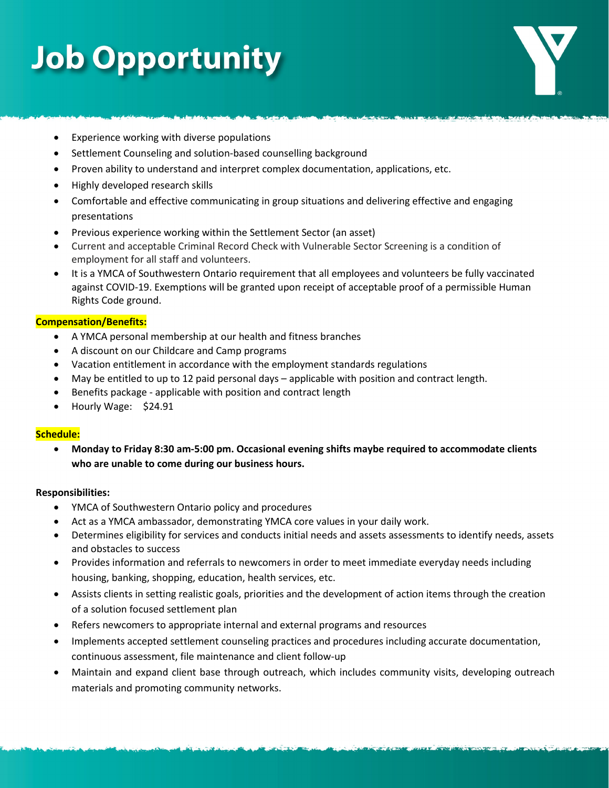## **Job Opportunity**

- Experience working with diverse populations
- Settlement Counseling and solution-based counselling background
- Proven ability to understand and interpret complex documentation, applications, etc.
- Highly developed research skills
- Comfortable and effective communicating in group situations and delivering effective and engaging presentations
- Previous experience working within the Settlement Sector (an asset)
- Current and acceptable Criminal Record Check with Vulnerable Sector Screening is a condition of employment for all staff and volunteers.
- It is a YMCA of Southwestern Ontario requirement that all employees and volunteers be fully vaccinated against COVID-19. Exemptions will be granted upon receipt of acceptable proof of a permissible Human Rights Code ground.

### **Compensation/Benefits:**

- A YMCA personal membership at our health and fitness branches
- A discount on our Childcare and Camp programs
- Vacation entitlement in accordance with the employment standards regulations
- May be entitled to up to 12 paid personal days applicable with position and contract length.
- Benefits package applicable with position and contract length
- Hourly Wage: \$24.91

### **Schedule:**

• **Monday to Friday 8:30 am-5:00 pm. Occasional evening shifts maybe required to accommodate clients who are unable to come during our business hours.**

### **Responsibilities:**

- YMCA of Southwestern Ontario policy and procedures
- Act as a YMCA ambassador, demonstrating YMCA core values in your daily work.
- Determines eligibility for services and conducts initial needs and assets assessments to identify needs, assets and obstacles to success
- Provides information and referrals to newcomers in order to meet immediate everyday needs including housing, banking, shopping, education, health services, etc.
- Assists clients in setting realistic goals, priorities and the development of action items through the creation of a solution focused settlement plan
- Refers newcomers to appropriate internal and external programs and resources
- Implements accepted settlement counseling practices and procedures including accurate documentation, continuous assessment, file maintenance and client follow-up
- Maintain and expand client base through outreach, which includes community visits, developing outreach materials and promoting community networks.